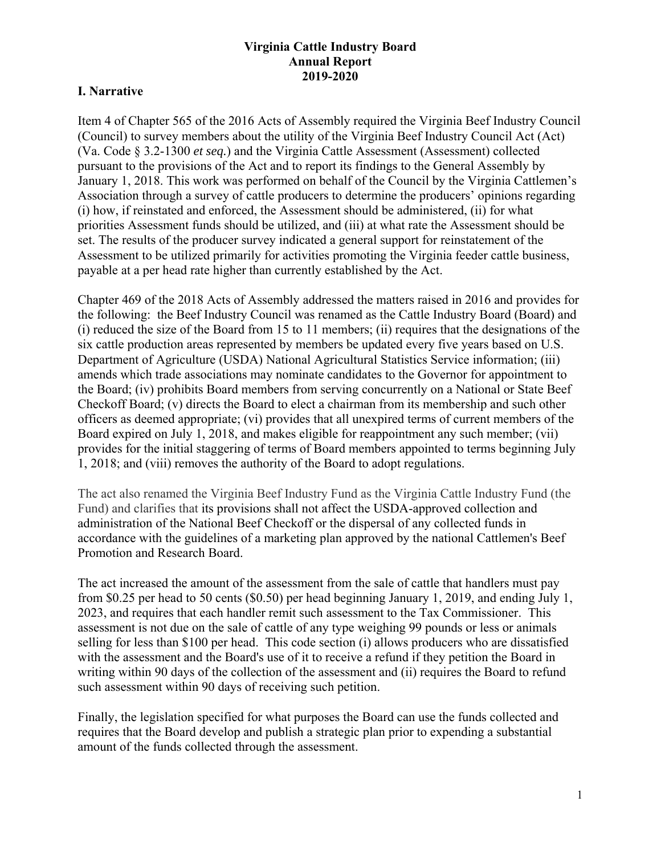# **Virginia Cattle Industry Board Annual Report 2019-2020**

# **I. Narrative**

Item 4 of Chapter 565 of the 2016 Acts of Assembly required the Virginia Beef Industry Council (Council) to survey members about the utility of the Virginia Beef Industry Council Act (Act) (Va. Code § 3.2-1300 *et seq.*) and the Virginia Cattle Assessment (Assessment) collected pursuant to the provisions of the Act and to report its findings to the General Assembly by January 1, 2018. This work was performed on behalf of the Council by the Virginia Cattlemen's Association through a survey of cattle producers to determine the producers' opinions regarding (i) how, if reinstated and enforced, the Assessment should be administered, (ii) for what priorities Assessment funds should be utilized, and (iii) at what rate the Assessment should be set. The results of the producer survey indicated a general support for reinstatement of the Assessment to be utilized primarily for activities promoting the Virginia feeder cattle business, payable at a per head rate higher than currently established by the Act.

Chapter 469 of the 2018 Acts of Assembly addressed the matters raised in 2016 and provides for the following: the Beef Industry Council was renamed as the Cattle Industry Board (Board) and (i) reduced the size of the Board from 15 to 11 members; (ii) requires that the designations of the six cattle production areas represented by members be updated every five years based on U.S. Department of Agriculture (USDA) National Agricultural Statistics Service information; (iii) amends which trade associations may nominate candidates to the Governor for appointment to the Board; (iv) prohibits Board members from serving concurrently on a National or State Beef Checkoff Board; (v) directs the Board to elect a chairman from its membership and such other officers as deemed appropriate; (vi) provides that all unexpired terms of current members of the Board expired on July 1, 2018, and makes eligible for reappointment any such member; (vii) provides for the initial staggering of terms of Board members appointed to terms beginning July 1, 2018; and (viii) removes the authority of the Board to adopt regulations.

The act also renamed the Virginia Beef Industry Fund as the Virginia Cattle Industry Fund (the Fund) and clarifies that its provisions shall not affect the USDA-approved collection and administration of the National Beef Checkoff or the dispersal of any collected funds in accordance with the guidelines of a marketing plan approved by the national Cattlemen's Beef Promotion and Research Board.

The act increased the amount of the assessment from the sale of cattle that handlers must pay from \$0.25 per head to 50 cents (\$0.50) per head beginning January 1, 2019, and ending July 1, 2023, and requires that each handler remit such assessment to the Tax Commissioner. This assessment is not due on the sale of cattle of any type weighing 99 pounds or less or animals selling for less than \$100 per head. This code section (i) allows producers who are dissatisfied with the assessment and the Board's use of it to receive a refund if they petition the Board in writing within 90 days of the collection of the assessment and (ii) requires the Board to refund such assessment within 90 days of receiving such petition.

Finally, the legislation specified for what purposes the Board can use the funds collected and requires that the Board develop and publish a strategic plan prior to expending a substantial amount of the funds collected through the assessment.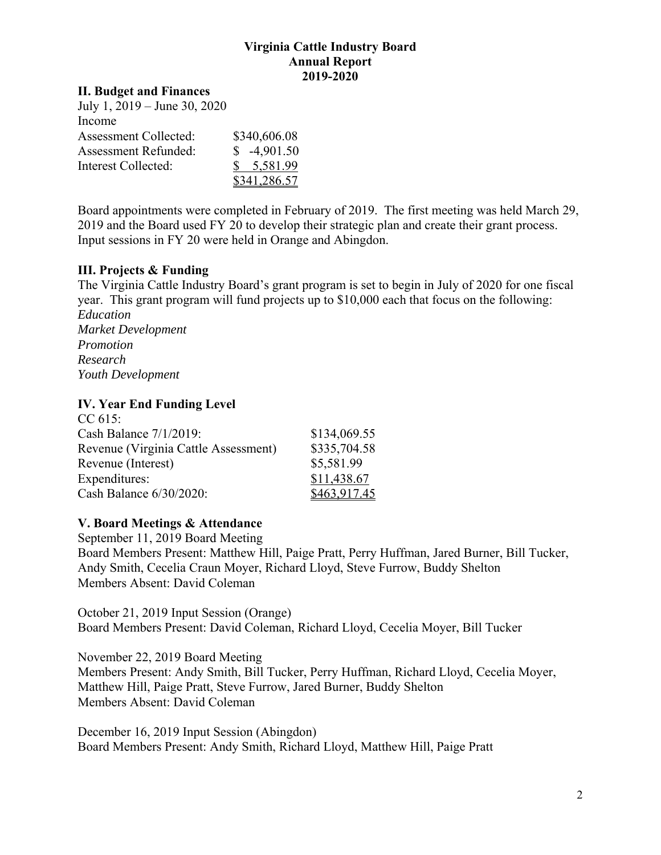## **Virginia Cattle Industry Board Annual Report 2019-2020**

#### **II. Budget and Finances**

| July 1, $2019 -$ June 30, $2020$ |              |
|----------------------------------|--------------|
| Income                           |              |
| Assessment Collected:            | \$340,606.08 |
| <b>Assessment Refunded:</b>      | $$-4,901.50$ |
| Interest Collected:              | \$5,581.99   |
|                                  | \$341,286.57 |

Board appointments were completed in February of 2019. The first meeting was held March 29, 2019 and the Board used FY 20 to develop their strategic plan and create their grant process. Input sessions in FY 20 were held in Orange and Abingdon.

#### **III. Projects & Funding**

The Virginia Cattle Industry Board's grant program is set to begin in July of 2020 for one fiscal year. This grant program will fund projects up to \$10,000 each that focus on the following: *Education Market Development Promotion Research Youth Development* 

## **IV. Year End Funding Level**

| $CC 615$ :                           |              |
|--------------------------------------|--------------|
| Cash Balance 7/1/2019:               | \$134,069.55 |
| Revenue (Virginia Cattle Assessment) | \$335,704.58 |
| Revenue (Interest)                   | \$5,581.99   |
| Expenditures:                        | \$11,438.67  |
| Cash Balance 6/30/2020:              | \$463,917.45 |

# **V. Board Meetings & Attendance**

September 11, 2019 Board Meeting Board Members Present: Matthew Hill, Paige Pratt, Perry Huffman, Jared Burner, Bill Tucker, Andy Smith, Cecelia Craun Moyer, Richard Lloyd, Steve Furrow, Buddy Shelton Members Absent: David Coleman

October 21, 2019 Input Session (Orange) Board Members Present: David Coleman, Richard Lloyd, Cecelia Moyer, Bill Tucker

November 22, 2019 Board Meeting Members Present: Andy Smith, Bill Tucker, Perry Huffman, Richard Lloyd, Cecelia Moyer, Matthew Hill, Paige Pratt, Steve Furrow, Jared Burner, Buddy Shelton Members Absent: David Coleman

December 16, 2019 Input Session (Abingdon) Board Members Present: Andy Smith, Richard Lloyd, Matthew Hill, Paige Pratt